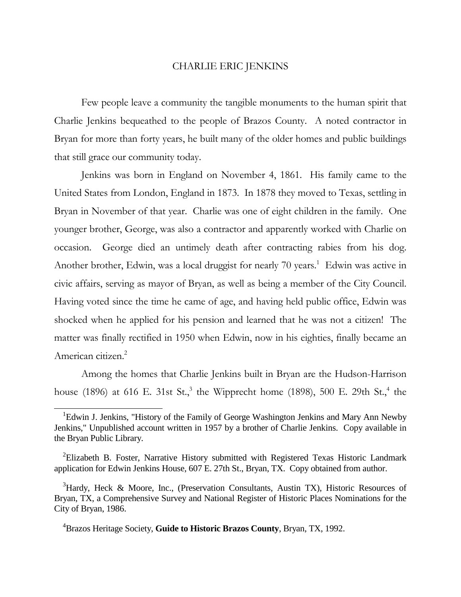## CHARLIE ERIC JENKINS

 Few people leave a community the tangible monuments to the human spirit that Charlie Jenkins bequeathed to the people of Brazos County. A noted contractor in Bryan for more than forty years, he built many of the older homes and public buildings that still grace our community today.

 Jenkins was born in England on November 4, 1861. His family came to the United States from London, England in 1873. In 1878 they moved to Texas, settling in Bryan in November of that year. Charlie was one of eight children in the family. One younger brother, George, was also a contractor and apparently worked with Charlie on occasion. George died an untimely death after contracting rabies from his dog. Another brother, Edwin, was a local druggist for nearly 70 years.<sup>1</sup> Edwin was active in civic affairs, serving as mayor of Bryan, as well as being a member of the City Council. Having voted since the time he came of age, and having held public office, Edwin was shocked when he applied for his pension and learned that he was not a citizen! The matter was finally rectified in 1950 when Edwin, now in his eighties, finally became an American citizen.<sup>2</sup>

 Among the homes that Charlie Jenkins built in Bryan are the Hudson-Harrison house (1896) at 616 E. 31st St.,<sup>3</sup> the Wipprecht home (1898), 500 E. 29th St.,<sup>4</sup> the

1

<sup>&</sup>lt;sup>1</sup>Edwin J. Jenkins, "History of the Family of George Washington Jenkins and Mary Ann Newby Jenkins," Unpublished account written in 1957 by a brother of Charlie Jenkins. Copy available in the Bryan Public Library.

 $2$ Elizabeth B. Foster, Narrative History submitted with Registered Texas Historic Landmark application for Edwin Jenkins House, 607 E. 27th St., Bryan, TX. Copy obtained from author.

 $3$ Hardy, Heck & Moore, Inc., (Preservation Consultants, Austin TX), Historic Resources of Bryan, TX, a Comprehensive Survey and National Register of Historic Places Nominations for the City of Bryan, 1986.

<sup>4</sup>Brazos Heritage Society, **Guide to Historic Brazos County**, Bryan, TX, 1992.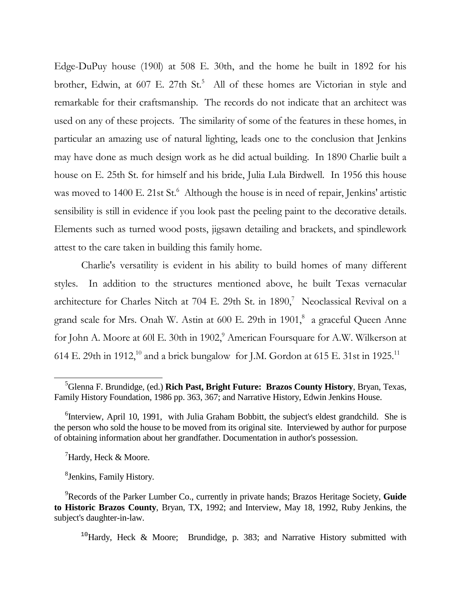Edge-DuPuy house (190l) at 508 E. 30th, and the home he built in 1892 for his brother, Edwin, at 607 E. 27th St.<sup>5</sup> All of these homes are Victorian in style and remarkable for their craftsmanship. The records do not indicate that an architect was used on any of these projects. The similarity of some of the features in these homes, in particular an amazing use of natural lighting, leads one to the conclusion that Jenkins may have done as much design work as he did actual building. In 1890 Charlie built a house on E. 25th St. for himself and his bride, Julia Lula Birdwell. In 1956 this house was moved to 1400 E. 21st St.<sup>6</sup> Although the house is in need of repair, Jenkins' artistic sensibility is still in evidence if you look past the peeling paint to the decorative details. Elements such as turned wood posts, jigsawn detailing and brackets, and spindlework attest to the care taken in building this family home.

 Charlie's versatility is evident in his ability to build homes of many different styles. In addition to the structures mentioned above, he built Texas vernacular architecture for Charles Nitch at 704 E. 29th St. in  $1890$ ,<sup>7</sup> Neoclassical Revival on a grand scale for Mrs. Onah W. Astin at 600 E. 29th in 1901,<sup>8</sup> a graceful Queen Anne for John A. Moore at 60l E. 30th in 1902, $^9$  American Foursquare for A.W. Wilkerson at 614 E. 29th in 1912,<sup>10</sup> and a brick bungalow for J.M. Gordon at 615 E. 31st in 1925.<sup>11</sup>

 $\mu$ <sup>7</sup>Hardy, Heck & Moore.

-

8 Jenkins, Family History.

<sup>10</sup>Hardy, Heck & Moore; Brundidge, p. 383; and Narrative History submitted with

<sup>5</sup>Glenna F. Brundidge, (ed.) **Rich Past, Bright Future: Brazos County History**, Bryan, Texas, Family History Foundation, 1986 pp. 363, 367; and Narrative History, Edwin Jenkins House.

<sup>&</sup>lt;sup>6</sup>Interview, April 10, 1991, with Julia Graham Bobbitt, the subject's eldest grandchild. She is the person who sold the house to be moved from its original site. Interviewed by author for purpose of obtaining information about her grandfather. Documentation in author's possession.

<sup>9</sup>Records of the Parker Lumber Co., currently in private hands; Brazos Heritage Society, **Guide to Historic Brazos County**, Bryan, TX, 1992; and Interview, May 18, 1992, Ruby Jenkins, the subject's daughter-in-law.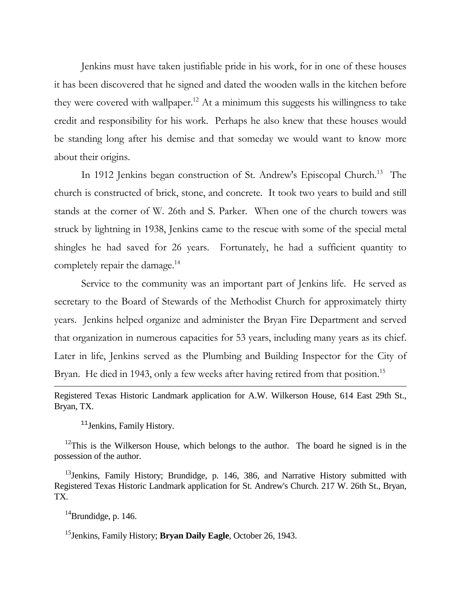Jenkins must have taken justifiable pride in his work, for in one of these houses it has been discovered that he signed and dated the wooden walls in the kitchen before they were covered with wallpaper.<sup>12</sup> At a minimum this suggests his willingness to take credit and responsibility for his work. Perhaps he also knew that these houses would be standing long after his demise and that someday we would want to know more about their origins.

In 1912 Jenkins began construction of St. Andrew's Episcopal Church.<sup>13</sup> The church is constructed of brick, stone, and concrete. It took two years to build and still stands at the corner of W. 26th and S. Parker. When one of the church towers was struck by lightning in 1938, Jenkins came to the rescue with some of the special metal shingles he had saved for 26 years. Fortunately, he had a sufficient quantity to completely repair the damage.<sup>14</sup>

 Service to the community was an important part of Jenkins life. He served as secretary to the Board of Stewards of the Methodist Church for approximately thirty years. Jenkins helped organize and administer the Bryan Fire Department and served that organization in numerous capacities for 53 years, including many years as its chief. Later in life, Jenkins served as the Plumbing and Building Inspector for the City of Bryan. He died in 1943, only a few weeks after having retired from that position.<sup>15</sup>

Registered Texas Historic Landmark application for A.W. Wilkerson House, 614 East 29th St., Bryan, TX.

<sup>11</sup> Jenkins, Family History.

 $12$ This is the Wilkerson House, which belongs to the author. The board he signed is in the possession of the author.

<sup>13</sup> Jenkins, Family History; Brundidge, p. 146, 386, and Narrative History submitted with Registered Texas Historic Landmark application for St. Andrew's Church. 217 W. 26th St., Bryan, TX.

 $14$ Brundidge, p. 146.

<u>.</u>

<sup>15</sup>Jenkins, Family History; **Bryan Daily Eagle**, October 26, 1943.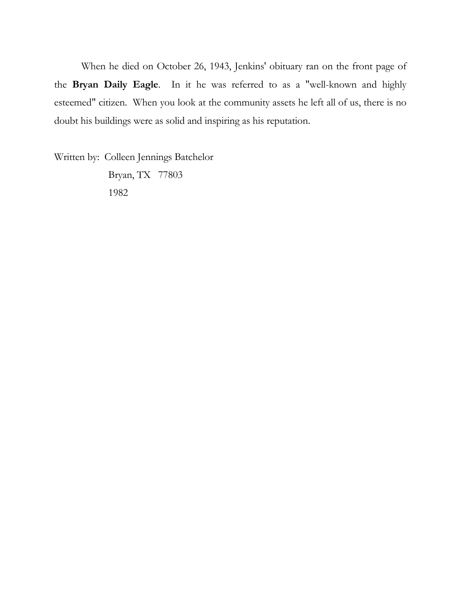When he died on October 26, 1943, Jenkins' obituary ran on the front page of the Bryan Daily Eagle. In it he was referred to as a "well-known and highly esteemed" citizen. When you look at the community assets he left all of us, there is no doubt his buildings were as solid and inspiring as his reputation.

Written by: Colleen Jennings Batchelor Bryan, TX 77803 1982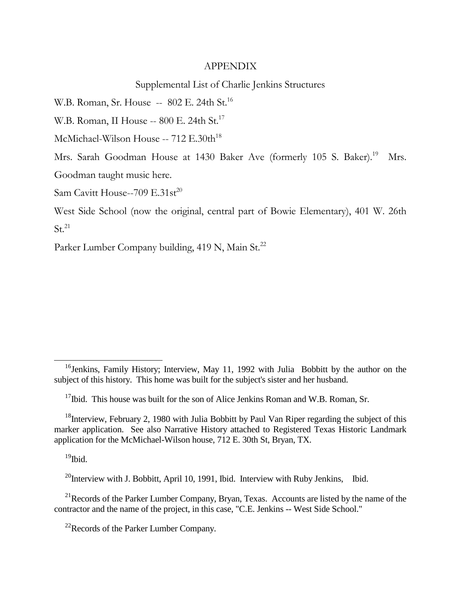## APPENDIX

## Supplemental List of Charlie Jenkins Structures

W.B. Roman, Sr. House -- 802 E. 24th St.<sup>16</sup>

W.B. Roman, II House -- 800 E. 24th St.<sup>17</sup>

McMichael-Wilson House -- 712 E.30th<sup>18</sup>

Mrs. Sarah Goodman House at 1430 Baker Ave (formerly 105 S. Baker).<sup>19</sup> Mrs. Goodman taught music here.

Sam Cavitt House--709  $E.31st^{20}$ 

West Side School (now the original, central part of Bowie Elementary), 401 W. 26th  $St.<sup>21</sup>$ 

Parker Lumber Company building, 419 N, Main St.<sup>22</sup>

 $^{19}$ Ibid.

-

 $^{20}$ Interview with J. Bobbitt, April 10, 1991, Ibid. Interview with Ruby Jenkins, Ibid.

 $^{21}$ Records of the Parker Lumber Company, Bryan, Texas. Accounts are listed by the name of the contractor and the name of the project, in this case, "C.E. Jenkins -- West Side School."

<sup>22</sup>Records of the Parker Lumber Company.

<sup>&</sup>lt;sup>16</sup>Jenkins, Family History; Interview, May 11, 1992 with Julia Bobbitt by the author on the subject of this history. This home was built for the subject's sister and her husband.

 $17$ Ibid. This house was built for the son of Alice Jenkins Roman and W.B. Roman, Sr.

 $18$ Interview, February 2, 1980 with Julia Bobbitt by Paul Van Riper regarding the subject of this marker application. See also Narrative History attached to Registered Texas Historic Landmark application for the McMichael-Wilson house, 712 E. 30th St, Bryan, TX.